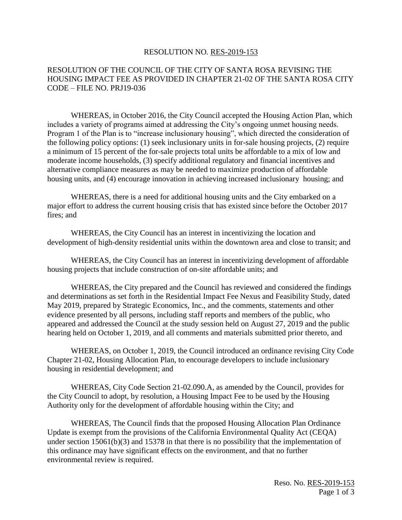## RESOLUTION NO. RES-2019-153

## RESOLUTION OF THE COUNCIL OF THE CITY OF SANTA ROSA REVISING THE HOUSING IMPACT FEE AS PROVIDED IN CHAPTER 21-02 OF THE SANTA ROSA CITY CODE – FILE NO. PRJ19-036

WHEREAS, in October 2016, the City Council accepted the Housing Action Plan, which includes a variety of programs aimed at addressing the City's ongoing unmet housing needs. Program 1 of the Plan is to "increase inclusionary housing", which directed the consideration of the following policy options: (1) seek inclusionary units in for-sale housing projects, (2) require a minimum of 15 percent of the for-sale projects total units be affordable to a mix of low and moderate income households, (3) specify additional regulatory and financial incentives and alternative compliance measures as may be needed to maximize production of affordable housing units, and (4) encourage innovation in achieving increased inclusionary housing; and

WHEREAS, there is a need for additional housing units and the City embarked on a major effort to address the current housing crisis that has existed since before the October 2017 fires; and

WHEREAS, the City Council has an interest in incentivizing the location and development of high-density residential units within the downtown area and close to transit; and

WHEREAS, the City Council has an interest in incentivizing development of affordable housing projects that include construction of on-site affordable units; and

WHEREAS, the City prepared and the Council has reviewed and considered the findings and determinations as set forth in the Residential Impact Fee Nexus and Feasibility Study, dated May 2019, prepared by Strategic Economics, Inc., and the comments, statements and other evidence presented by all persons, including staff reports and members of the public, who appeared and addressed the Council at the study session held on August 27, 2019 and the public hearing held on October 1, 2019, and all comments and materials submitted prior thereto, and

WHEREAS, on October 1, 2019, the Council introduced an ordinance revising City Code Chapter 21-02, Housing Allocation Plan, to encourage developers to include inclusionary housing in residential development; and

WHEREAS, City Code Section 21-02.090.A, as amended by the Council, provides for the City Council to adopt, by resolution, a Housing Impact Fee to be used by the Housing Authority only for the development of affordable housing within the City; and

WHEREAS, The Council finds that the proposed Housing Allocation Plan Ordinance Update is exempt from the provisions of the California Environmental Quality Act (CEQA) under section 15061(b)(3) and 15378 in that there is no possibility that the implementation of this ordinance may have significant effects on the environment, and that no further environmental review is required.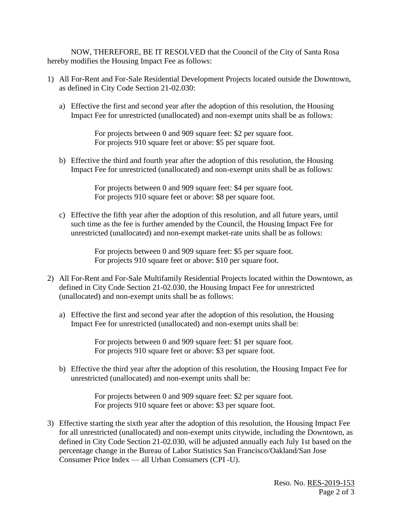NOW, THEREFORE, BE IT RESOLVED that the Council of the City of Santa Rosa hereby modifies the Housing Impact Fee as follows:

- 1) All For-Rent and For-Sale Residential Development Projects located outside the Downtown, as defined in City Code Section 21-02.030:
	- a) Effective the first and second year after the adoption of this resolution, the Housing Impact Fee for unrestricted (unallocated) and non-exempt units shall be as follows:

For projects between 0 and 909 square feet: \$2 per square foot. For projects 910 square feet or above: \$5 per square foot.

b) Effective the third and fourth year after the adoption of this resolution, the Housing Impact Fee for unrestricted (unallocated) and non-exempt units shall be as follows:

> For projects between 0 and 909 square feet: \$4 per square foot. For projects 910 square feet or above: \$8 per square foot.

c) Effective the fifth year after the adoption of this resolution, and all future years, until such time as the fee is further amended by the Council, the Housing Impact Fee for unrestricted (unallocated) and non-exempt market-rate units shall be as follows:

> For projects between 0 and 909 square feet: \$5 per square foot. For projects 910 square feet or above: \$10 per square foot.

- 2) All For-Rent and For-Sale Multifamily Residential Projects located within the Downtown, as defined in City Code Section 21-02.030, the Housing Impact Fee for unrestricted (unallocated) and non-exempt units shall be as follows:
	- a) Effective the first and second year after the adoption of this resolution, the Housing Impact Fee for unrestricted (unallocated) and non-exempt units shall be:

For projects between 0 and 909 square feet: \$1 per square foot. For projects 910 square feet or above: \$3 per square foot.

b) Effective the third year after the adoption of this resolution, the Housing Impact Fee for unrestricted (unallocated) and non-exempt units shall be:

> For projects between 0 and 909 square feet: \$2 per square foot. For projects 910 square feet or above: \$3 per square foot.

3) Effective starting the sixth year after the adoption of this resolution, the Housing Impact Fee for all unrestricted (unallocated) and non-exempt units citywide, including the Downtown, as defined in City Code Section 21-02.030, will be adjusted annually each July 1st based on the percentage change in the Bureau of Labor Statistics San Francisco/Oakland/San Jose Consumer Price Index — all Urban Consumers (CPI -U).